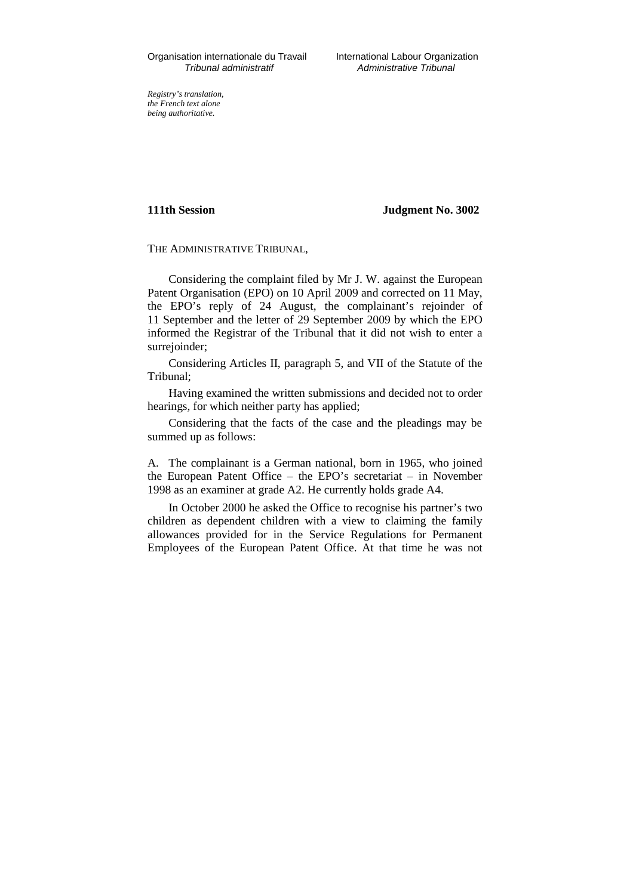*Registry's translation, the French text alone being authoritative.*

**111th Session Judgment No. 3002**

THE ADMINISTRATIVE TRIBUNAL,

Considering the complaint filed by Mr J. W. against the European Patent Organisation (EPO) on 10 April 2009 and corrected on 11 May, the EPO's reply of 24 August, the complainant's rejoinder of 11 September and the letter of 29 September 2009 by which the EPO informed the Registrar of the Tribunal that it did not wish to enter a surrejoinder;

Considering Articles II, paragraph 5, and VII of the Statute of the Tribunal;

Having examined the written submissions and decided not to order hearings, for which neither party has applied;

Considering that the facts of the case and the pleadings may be summed up as follows:

A. The complainant is a German national, born in 1965, who joined the European Patent Office – the EPO's secretariat – in November 1998 as an examiner at grade A2. He currently holds grade A4.

In October 2000 he asked the Office to recognise his partner's two children as dependent children with a view to claiming the family allowances provided for in the Service Regulations for Permanent Employees of the European Patent Office. At that time he was not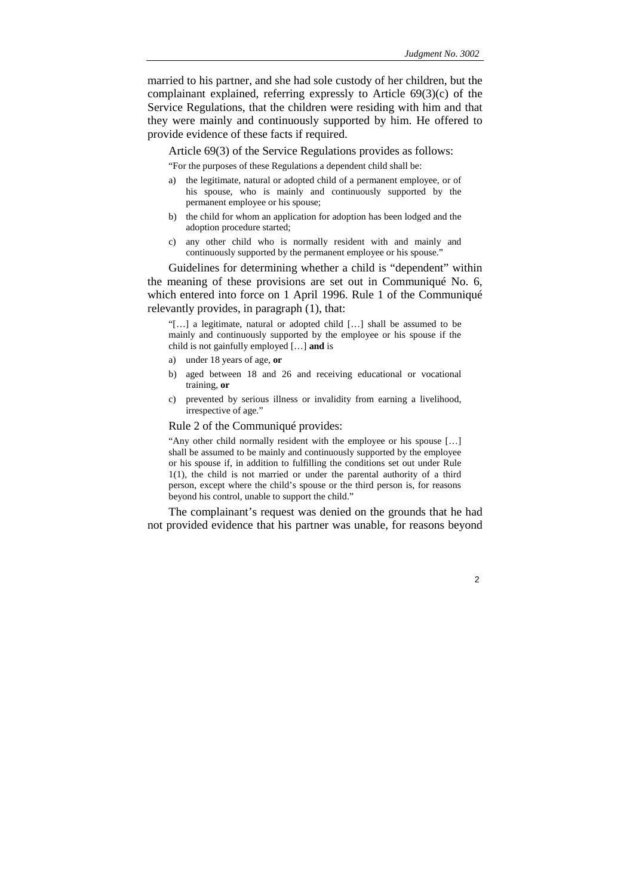married to his partner, and she had sole custody of her children, but the complainant explained, referring expressly to Article 69(3)(c) of the Service Regulations, that the children were residing with him and that they were mainly and continuously supported by him. He offered to provide evidence of these facts if required.

Article 69(3) of the Service Regulations provides as follows:

"For the purposes of these Regulations a dependent child shall be:

- a) the legitimate, natural or adopted child of a permanent employee, or of his spouse, who is mainly and continuously supported by the permanent employee or his spouse;
- b) the child for whom an application for adoption has been lodged and the adoption procedure started;
- c) any other child who is normally resident with and mainly and continuously supported by the permanent employee or his spouse."

Guidelines for determining whether a child is "dependent" within the meaning of these provisions are set out in Communiqué No. 6, which entered into force on 1 April 1996. Rule 1 of the Communiqué relevantly provides, in paragraph (1), that:

"[…] a legitimate, natural or adopted child […] shall be assumed to be mainly and continuously supported by the employee or his spouse if the child is not gainfully employed […] **and** is

- a) under 18 years of age, **or**
- b) aged between 18 and 26 and receiving educational or vocational training, **or**
- c) prevented by serious illness or invalidity from earning a livelihood, irrespective of age."

### Rule 2 of the Communiqué provides:

"Any other child normally resident with the employee or his spouse […] shall be assumed to be mainly and continuously supported by the employee or his spouse if, in addition to fulfilling the conditions set out under Rule 1(1), the child is not married or under the parental authority of a third person, except where the child's spouse or the third person is, for reasons beyond his control, unable to support the child."

The complainant's request was denied on the grounds that he had not provided evidence that his partner was unable, for reasons beyond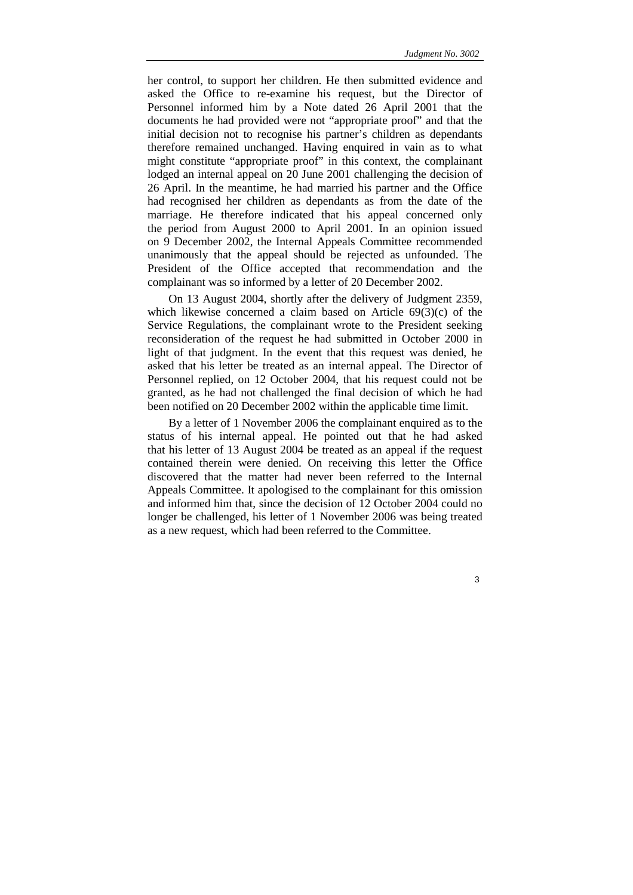her control, to support her children. He then submitted evidence and asked the Office to re-examine his request, but the Director of Personnel informed him by a Note dated 26 April 2001 that the documents he had provided were not "appropriate proof" and that the initial decision not to recognise his partner's children as dependants therefore remained unchanged. Having enquired in vain as to what might constitute "appropriate proof" in this context, the complainant lodged an internal appeal on 20 June 2001 challenging the decision of 26 April. In the meantime, he had married his partner and the Office had recognised her children as dependants as from the date of the marriage. He therefore indicated that his appeal concerned only the period from August 2000 to April 2001. In an opinion issued on 9 December 2002, the Internal Appeals Committee recommended unanimously that the appeal should be rejected as unfounded. The President of the Office accepted that recommendation and the complainant was so informed by a letter of 20 December 2002.

On 13 August 2004, shortly after the delivery of Judgment 2359, which likewise concerned a claim based on Article 69(3)(c) of the Service Regulations, the complainant wrote to the President seeking reconsideration of the request he had submitted in October 2000 in light of that judgment. In the event that this request was denied, he asked that his letter be treated as an internal appeal. The Director of Personnel replied, on 12 October 2004, that his request could not be granted, as he had not challenged the final decision of which he had been notified on 20 December 2002 within the applicable time limit.

By a letter of 1 November 2006 the complainant enquired as to the status of his internal appeal. He pointed out that he had asked that his letter of 13 August 2004 be treated as an appeal if the request contained therein were denied. On receiving this letter the Office discovered that the matter had never been referred to the Internal Appeals Committee. It apologised to the complainant for this omission and informed him that, since the decision of 12 October 2004 could no longer be challenged, his letter of 1 November 2006 was being treated as a new request, which had been referred to the Committee.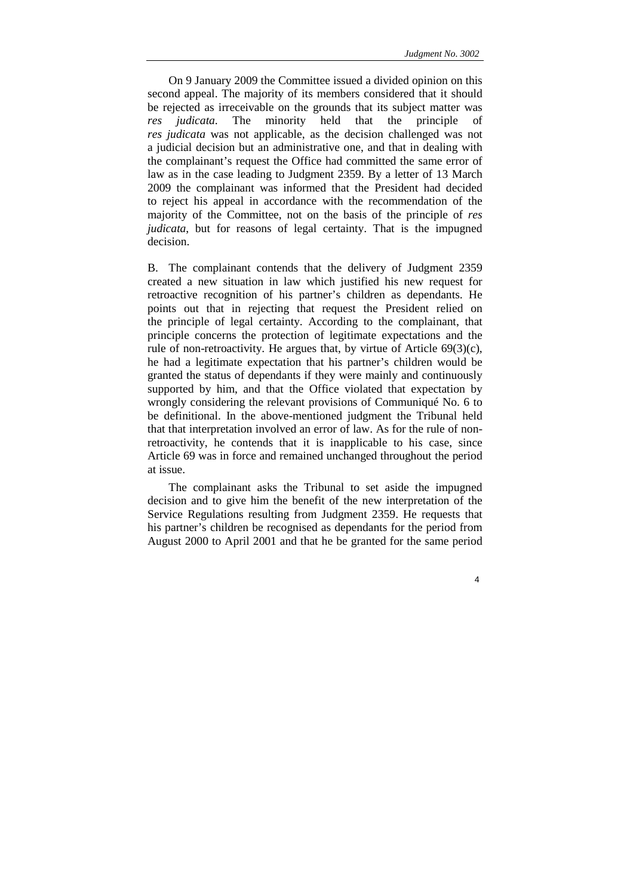On 9 January 2009 the Committee issued a divided opinion on this second appeal. The majority of its members considered that it should be rejected as irreceivable on the grounds that its subject matter was *res judicata*. The minority held that the principle of *res judicata* was not applicable, as the decision challenged was not a judicial decision but an administrative one, and that in dealing with the complainant's request the Office had committed the same error of law as in the case leading to Judgment 2359. By a letter of 13 March 2009 the complainant was informed that the President had decided to reject his appeal in accordance with the recommendation of the majority of the Committee, not on the basis of the principle of *res judicata*, but for reasons of legal certainty. That is the impugned decision.

B. The complainant contends that the delivery of Judgment 2359 created a new situation in law which justified his new request for retroactive recognition of his partner's children as dependants. He points out that in rejecting that request the President relied on the principle of legal certainty. According to the complainant, that principle concerns the protection of legitimate expectations and the rule of non-retroactivity. He argues that, by virtue of Article 69(3)(c), he had a legitimate expectation that his partner's children would be granted the status of dependants if they were mainly and continuously supported by him, and that the Office violated that expectation by wrongly considering the relevant provisions of Communiqué No. 6 to be definitional. In the above-mentioned judgment the Tribunal held that that interpretation involved an error of law. As for the rule of nonretroactivity, he contends that it is inapplicable to his case, since Article 69 was in force and remained unchanged throughout the period at issue.

The complainant asks the Tribunal to set aside the impugned decision and to give him the benefit of the new interpretation of the Service Regulations resulting from Judgment 2359. He requests that his partner's children be recognised as dependants for the period from August 2000 to April 2001 and that he be granted for the same period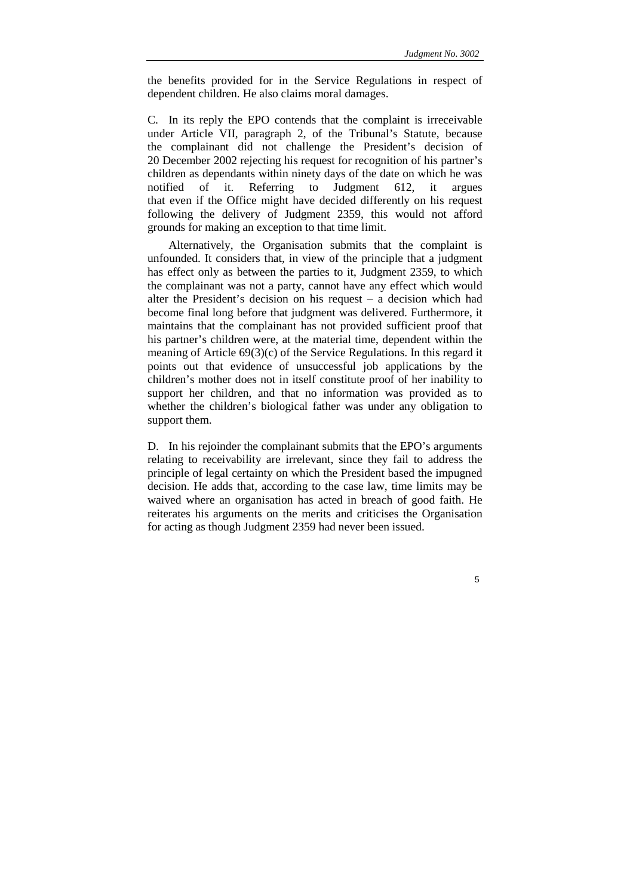the benefits provided for in the Service Regulations in respect of dependent children. He also claims moral damages.

C. In its reply the EPO contends that the complaint is irreceivable under Article VII, paragraph 2, of the Tribunal's Statute, because the complainant did not challenge the President's decision of 20 December 2002 rejecting his request for recognition of his partner's children as dependants within ninety days of the date on which he was notified of it. Referring to Judgment 612, it argues that even if the Office might have decided differently on his request following the delivery of Judgment 2359, this would not afford grounds for making an exception to that time limit.

Alternatively, the Organisation submits that the complaint is unfounded. It considers that, in view of the principle that a judgment has effect only as between the parties to it, Judgment 2359, to which the complainant was not a party, cannot have any effect which would alter the President's decision on his request – a decision which had become final long before that judgment was delivered. Furthermore, it maintains that the complainant has not provided sufficient proof that his partner's children were, at the material time, dependent within the meaning of Article 69(3)(c) of the Service Regulations. In this regard it points out that evidence of unsuccessful job applications by the children's mother does not in itself constitute proof of her inability to support her children, and that no information was provided as to whether the children's biological father was under any obligation to support them.

D. In his rejoinder the complainant submits that the EPO's arguments relating to receivability are irrelevant, since they fail to address the principle of legal certainty on which the President based the impugned decision. He adds that, according to the case law, time limits may be waived where an organisation has acted in breach of good faith. He reiterates his arguments on the merits and criticises the Organisation for acting as though Judgment 2359 had never been issued.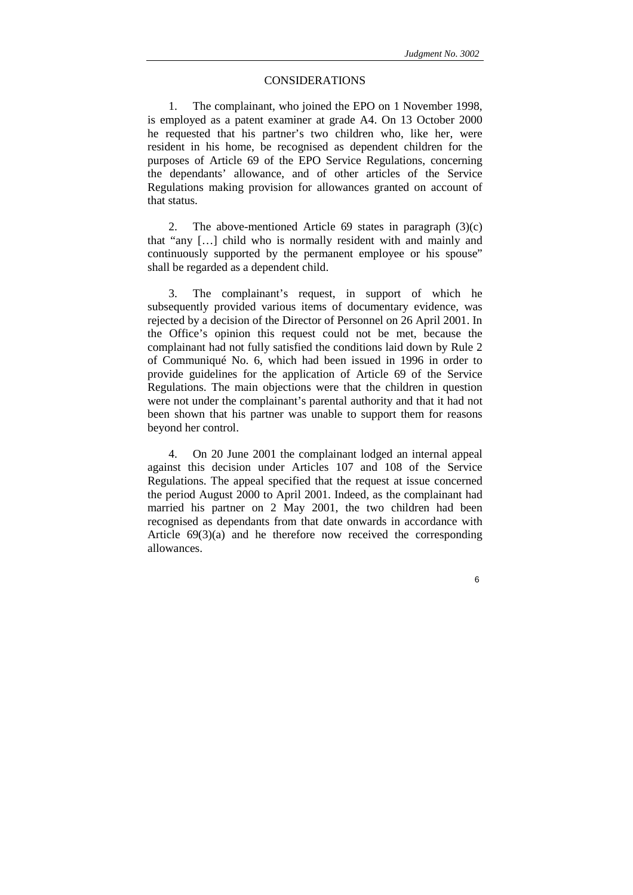6

# CONSIDERATIONS

1. The complainant, who joined the EPO on 1 November 1998, is employed as a patent examiner at grade A4. On 13 October 2000 he requested that his partner's two children who, like her, were resident in his home, be recognised as dependent children for the purposes of Article 69 of the EPO Service Regulations, concerning the dependants' allowance, and of other articles of the Service Regulations making provision for allowances granted on account of that status.

2. The above-mentioned Article 69 states in paragraph  $(3)(c)$ that "any […] child who is normally resident with and mainly and continuously supported by the permanent employee or his spouse" shall be regarded as a dependent child.

3. The complainant's request, in support of which he subsequently provided various items of documentary evidence, was rejected by a decision of the Director of Personnel on 26 April 2001. In the Office's opinion this request could not be met, because the complainant had not fully satisfied the conditions laid down by Rule 2 of Communiqué No. 6, which had been issued in 1996 in order to provide guidelines for the application of Article 69 of the Service Regulations. The main objections were that the children in question were not under the complainant's parental authority and that it had not been shown that his partner was unable to support them for reasons beyond her control.

4. On 20 June 2001 the complainant lodged an internal appeal against this decision under Articles 107 and 108 of the Service Regulations. The appeal specified that the request at issue concerned the period August 2000 to April 2001. Indeed, as the complainant had married his partner on 2 May 2001, the two children had been recognised as dependants from that date onwards in accordance with Article 69(3)(a) and he therefore now received the corresponding allowances.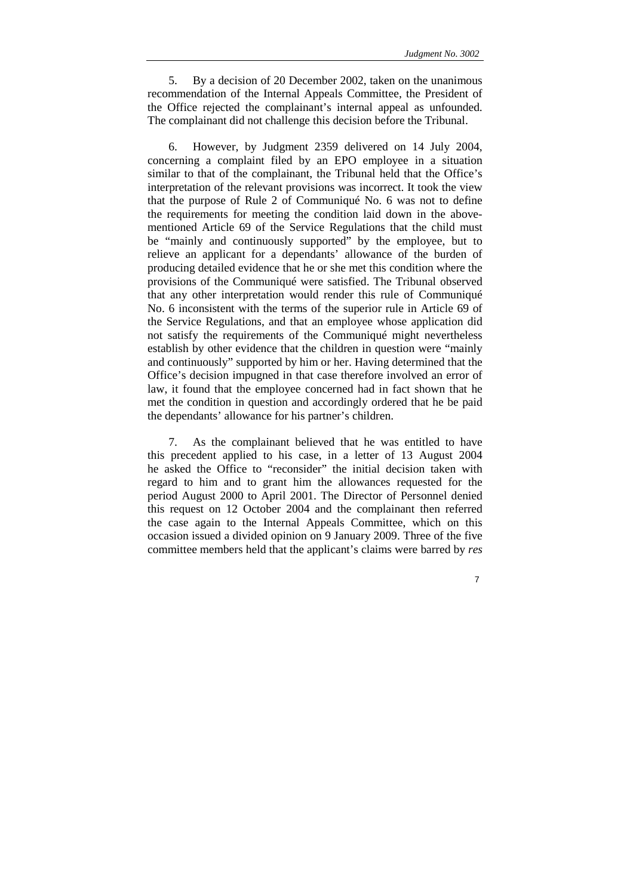5. By a decision of 20 December 2002, taken on the unanimous recommendation of the Internal Appeals Committee, the President of the Office rejected the complainant's internal appeal as unfounded. The complainant did not challenge this decision before the Tribunal.

6. However, by Judgment 2359 delivered on 14 July 2004, concerning a complaint filed by an EPO employee in a situation similar to that of the complainant, the Tribunal held that the Office's interpretation of the relevant provisions was incorrect. It took the view that the purpose of Rule 2 of Communiqué No. 6 was not to define the requirements for meeting the condition laid down in the abovementioned Article 69 of the Service Regulations that the child must be "mainly and continuously supported" by the employee, but to relieve an applicant for a dependants' allowance of the burden of producing detailed evidence that he or she met this condition where the provisions of the Communiqué were satisfied. The Tribunal observed that any other interpretation would render this rule of Communiqué No. 6 inconsistent with the terms of the superior rule in Article 69 of the Service Regulations, and that an employee whose application did not satisfy the requirements of the Communiqué might nevertheless establish by other evidence that the children in question were "mainly and continuously" supported by him or her. Having determined that the Office's decision impugned in that case therefore involved an error of law, it found that the employee concerned had in fact shown that he met the condition in question and accordingly ordered that he be paid the dependants' allowance for his partner's children.

7. As the complainant believed that he was entitled to have this precedent applied to his case, in a letter of 13 August 2004 he asked the Office to "reconsider" the initial decision taken with regard to him and to grant him the allowances requested for the period August 2000 to April 2001. The Director of Personnel denied this request on 12 October 2004 and the complainant then referred the case again to the Internal Appeals Committee, which on this occasion issued a divided opinion on 9 January 2009. Three of the five committee members held that the applicant's claims were barred by *res*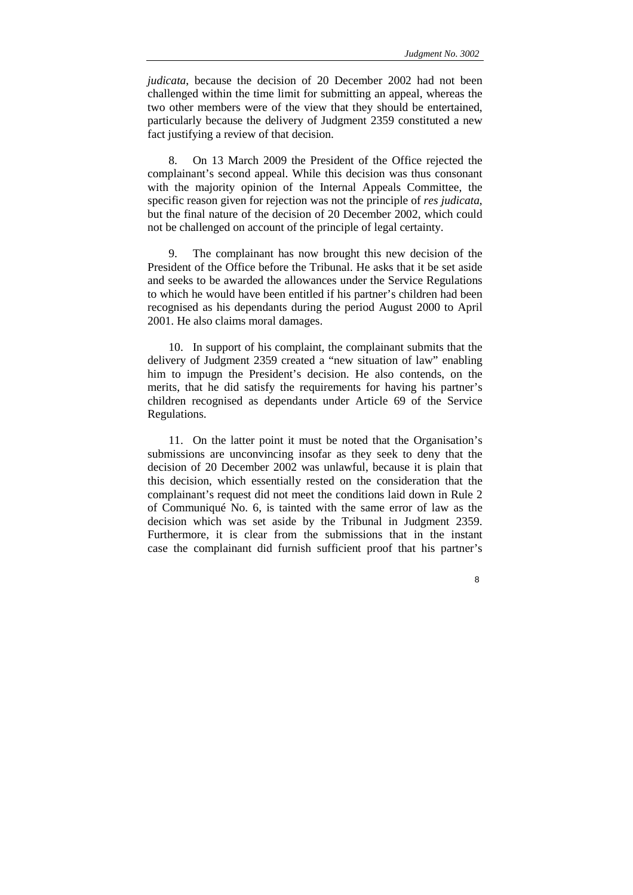8

*judicata*, because the decision of 20 December 2002 had not been challenged within the time limit for submitting an appeal, whereas the two other members were of the view that they should be entertained, particularly because the delivery of Judgment 2359 constituted a new fact justifying a review of that decision.

8. On 13 March 2009 the President of the Office rejected the complainant's second appeal. While this decision was thus consonant with the majority opinion of the Internal Appeals Committee, the specific reason given for rejection was not the principle of *res judicata*, but the final nature of the decision of 20 December 2002, which could not be challenged on account of the principle of legal certainty.

9. The complainant has now brought this new decision of the President of the Office before the Tribunal. He asks that it be set aside and seeks to be awarded the allowances under the Service Regulations to which he would have been entitled if his partner's children had been recognised as his dependants during the period August 2000 to April 2001. He also claims moral damages.

10. In support of his complaint, the complainant submits that the delivery of Judgment 2359 created a "new situation of law" enabling him to impugn the President's decision. He also contends, on the merits, that he did satisfy the requirements for having his partner's children recognised as dependants under Article 69 of the Service Regulations.

11. On the latter point it must be noted that the Organisation's submissions are unconvincing insofar as they seek to deny that the decision of 20 December 2002 was unlawful, because it is plain that this decision, which essentially rested on the consideration that the complainant's request did not meet the conditions laid down in Rule 2 of Communiqué No. 6, is tainted with the same error of law as the decision which was set aside by the Tribunal in Judgment 2359. Furthermore, it is clear from the submissions that in the instant case the complainant did furnish sufficient proof that his partner's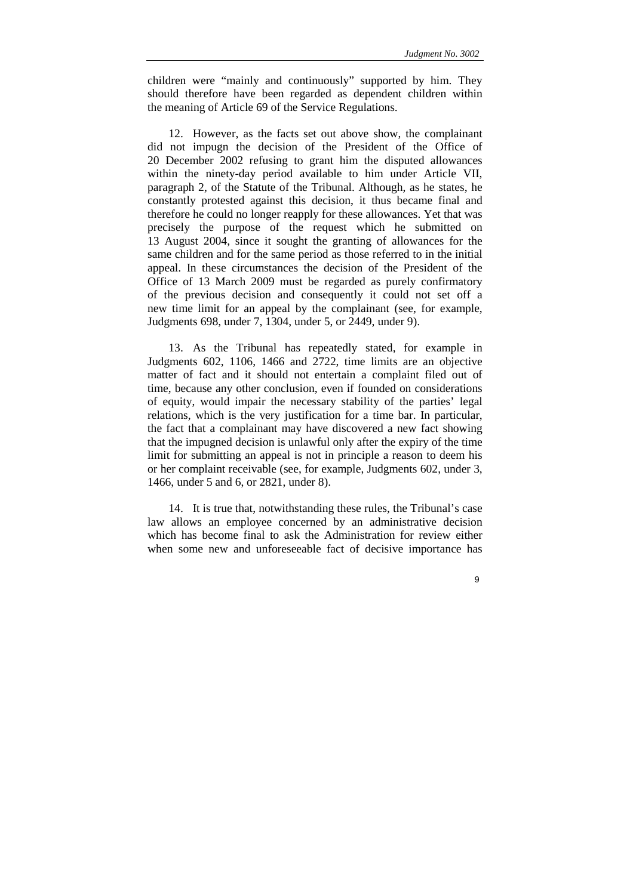children were "mainly and continuously" supported by him. They should therefore have been regarded as dependent children within the meaning of Article 69 of the Service Regulations.

12. However, as the facts set out above show, the complainant did not impugn the decision of the President of the Office of 20 December 2002 refusing to grant him the disputed allowances within the ninety-day period available to him under Article VII, paragraph 2, of the Statute of the Tribunal. Although, as he states, he constantly protested against this decision, it thus became final and therefore he could no longer reapply for these allowances. Yet that was precisely the purpose of the request which he submitted on 13 August 2004, since it sought the granting of allowances for the same children and for the same period as those referred to in the initial appeal. In these circumstances the decision of the President of the Office of 13 March 2009 must be regarded as purely confirmatory of the previous decision and consequently it could not set off a new time limit for an appeal by the complainant (see, for example, Judgments 698, under 7, 1304, under 5, or 2449, under 9).

13. As the Tribunal has repeatedly stated, for example in Judgments 602, 1106, 1466 and 2722, time limits are an objective matter of fact and it should not entertain a complaint filed out of time, because any other conclusion, even if founded on considerations of equity, would impair the necessary stability of the parties' legal relations, which is the very justification for a time bar. In particular, the fact that a complainant may have discovered a new fact showing that the impugned decision is unlawful only after the expiry of the time limit for submitting an appeal is not in principle a reason to deem his or her complaint receivable (see, for example, Judgments 602, under 3, 1466, under 5 and 6, or 2821, under 8).

14. It is true that, notwithstanding these rules, the Tribunal's case law allows an employee concerned by an administrative decision which has become final to ask the Administration for review either when some new and unforeseeable fact of decisive importance has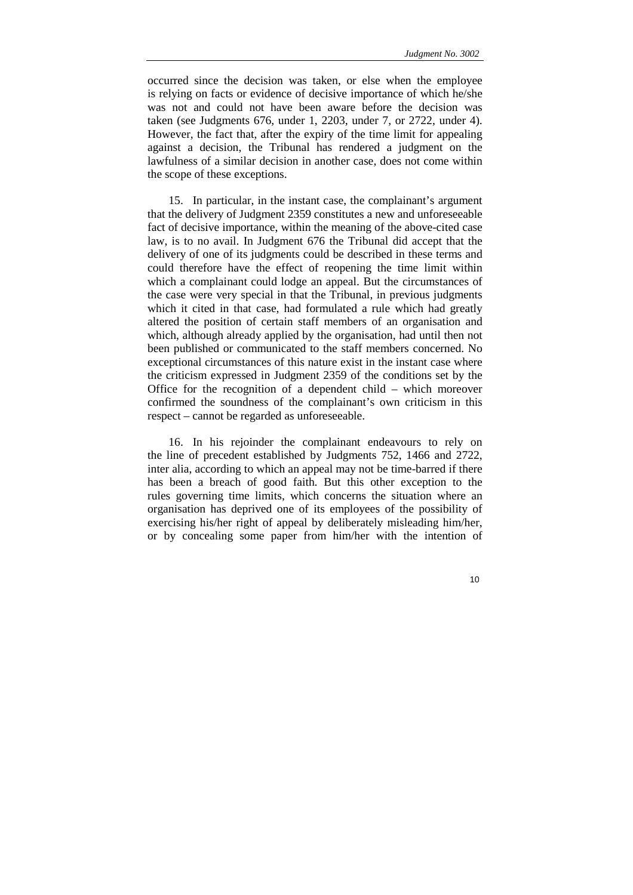occurred since the decision was taken, or else when the employee is relying on facts or evidence of decisive importance of which he/she was not and could not have been aware before the decision was taken (see Judgments 676, under 1, 2203, under 7, or 2722, under 4). However, the fact that, after the expiry of the time limit for appealing against a decision, the Tribunal has rendered a judgment on the lawfulness of a similar decision in another case, does not come within the scope of these exceptions.

15. In particular, in the instant case, the complainant's argument that the delivery of Judgment 2359 constitutes a new and unforeseeable fact of decisive importance, within the meaning of the above-cited case law, is to no avail. In Judgment 676 the Tribunal did accept that the delivery of one of its judgments could be described in these terms and could therefore have the effect of reopening the time limit within which a complainant could lodge an appeal. But the circumstances of the case were very special in that the Tribunal, in previous judgments which it cited in that case, had formulated a rule which had greatly altered the position of certain staff members of an organisation and which, although already applied by the organisation, had until then not been published or communicated to the staff members concerned. No exceptional circumstances of this nature exist in the instant case where the criticism expressed in Judgment 2359 of the conditions set by the Office for the recognition of a dependent child – which moreover confirmed the soundness of the complainant's own criticism in this respect – cannot be regarded as unforeseeable.

16. In his rejoinder the complainant endeavours to rely on the line of precedent established by Judgments 752, 1466 and 2722, inter alia, according to which an appeal may not be time-barred if there has been a breach of good faith. But this other exception to the rules governing time limits, which concerns the situation where an organisation has deprived one of its employees of the possibility of exercising his/her right of appeal by deliberately misleading him/her, or by concealing some paper from him/her with the intention of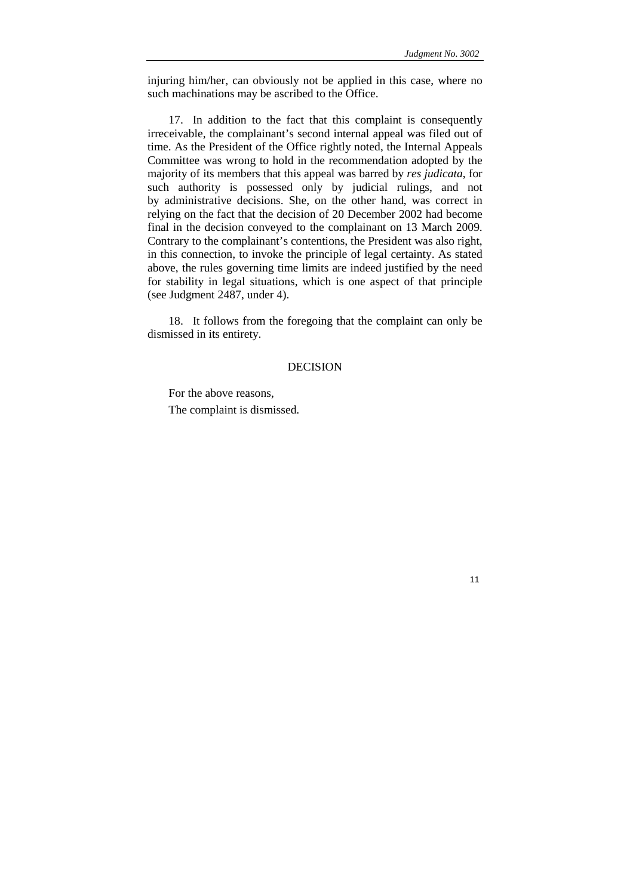11

injuring him/her, can obviously not be applied in this case, where no such machinations may be ascribed to the Office.

17. In addition to the fact that this complaint is consequently irreceivable, the complainant's second internal appeal was filed out of time. As the President of the Office rightly noted, the Internal Appeals Committee was wrong to hold in the recommendation adopted by the majority of its members that this appeal was barred by *res judicata*, for such authority is possessed only by judicial rulings, and not by administrative decisions. She, on the other hand, was correct in relying on the fact that the decision of 20 December 2002 had become final in the decision conveyed to the complainant on 13 March 2009. Contrary to the complainant's contentions, the President was also right, in this connection, to invoke the principle of legal certainty. As stated above, the rules governing time limits are indeed justified by the need for stability in legal situations, which is one aspect of that principle (see Judgment 2487, under 4).

18. It follows from the foregoing that the complaint can only be dismissed in its entirety.

# DECISION

For the above reasons, The complaint is dismissed.